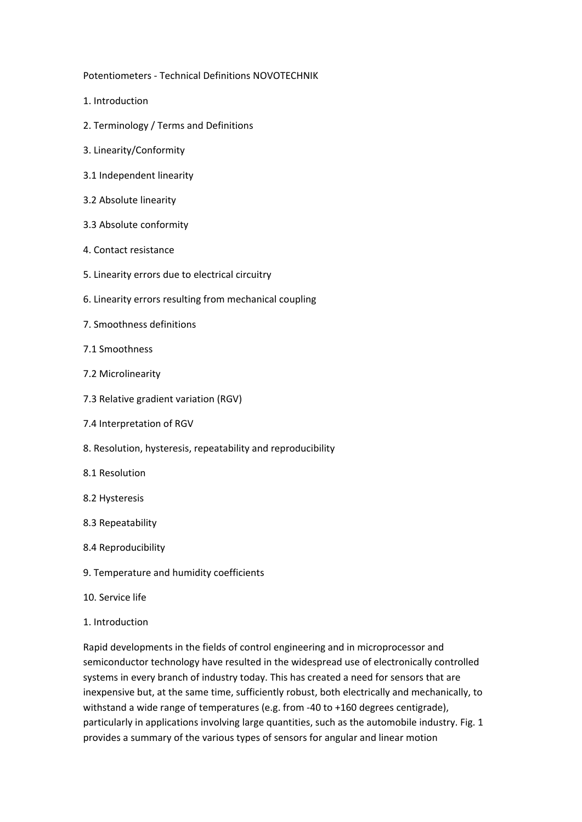Potentiometers ‐ Technical Definitions NOVOTECHNIK

- 1. Introduction
- 2. Terminology / Terms and Definitions
- 3. Linearity/Conformity
- 3.1 Independent linearity
- 3.2 Absolute linearity
- 3.3 Absolute conformity
- 4. Contact resistance
- 5. Linearity errors due to electrical circuitry
- 6. Linearity errors resulting from mechanical coupling
- 7. Smoothness definitions
- 7.1 Smoothness
- 7.2 Microlinearity
- 7.3 Relative gradient variation (RGV)
- 7.4 Interpretation of RGV
- 8. Resolution, hysteresis, repeatability and reproducibility
- 8.1 Resolution
- 8.2 Hysteresis
- 8.3 Repeatability
- 8.4 Reproducibility
- 9. Temperature and humidity coefficients
- 10. Service life
- 1. Introduction

Rapid developments in the fields of control engineering and in microprocessor and semiconductor technology have resulted in the widespread use of electronically controlled systems in every branch of industry today. This has created a need for sensors that are inexpensive but, at the same time, sufficiently robust, both electrically and mechanically, to withstand a wide range of temperatures (e.g. from ‐40 to +160 degrees centigrade), particularly in applications involving large quantities, such as the automobile industry. Fig. 1 provides a summary of the various types of sensors for angular and linear motion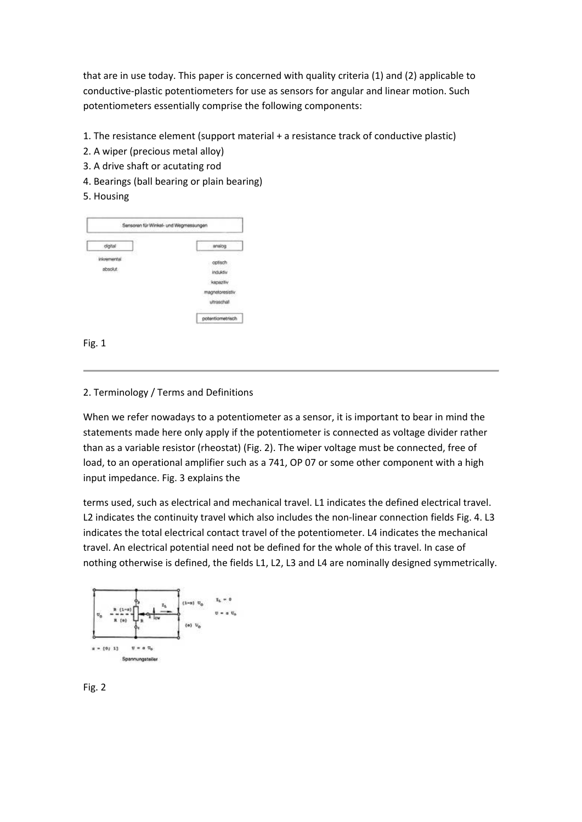that are in use today. This paper is concerned with quality criteria (1) and (2) applicable to conductive‐plastic potentiometers for use as sensors for angular and linear motion. Such potentiometers essentially comprise the following components:

- 1. The resistance element (support material + a resistance track of conductive plastic)
- 2. A wiper (precious metal alloy)
- 3. A drive shaft or acutating rod
- 4. Bearings (ball bearing or plain bearing)

# 5. Housing



Fig. 1

# 2. Terminology / Terms and Definitions

When we refer nowadays to a potentiometer as a sensor, it is important to bear in mind the statements made here only apply if the potentiometer is connected as voltage divider rather than as a variable resistor (rheostat) (Fig. 2). The wiper voltage must be connected, free of load, to an operational amplifier such as a 741, OP 07 or some other component with a high input impedance. Fig. 3 explains the

terms used, such as electrical and mechanical travel. L1 indicates the defined electrical travel. L2 indicates the continuity travel which also includes the non-linear connection fields Fig. 4. L3 indicates the total electrical contact travel of the potentiometer. L4 indicates the mechanical travel. An electrical potential need not be defined for the whole of this travel. In case of nothing otherwise is defined, the fields L1, L2, L3 and L4 are nominally designed symmetrically.



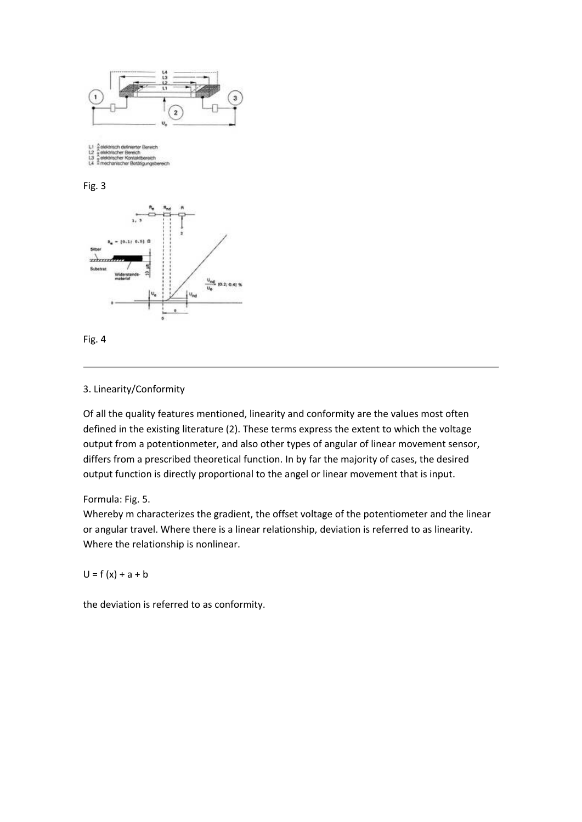







### 3. Linearity/Conformity

Of all the quality features mentioned, linearity and conformity are the values most often defined in the existing literature (2). These terms express the extent to which the voltage output from a potentionmeter, and also other types of angular of linear movement sensor, differs from a prescribed theoretical function. In by far the majority of cases, the desired output function is directly proportional to the angel or linear movement that is input.

Formula: Fig. 5.

Whereby m characterizes the gradient, the offset voltage of the potentiometer and the linear or angular travel. Where there is a linear relationship, deviation is referred to as linearity. Where the relationship is nonlinear.

 $U = f(x) + a + b$ 

the deviation is referred to as conformity.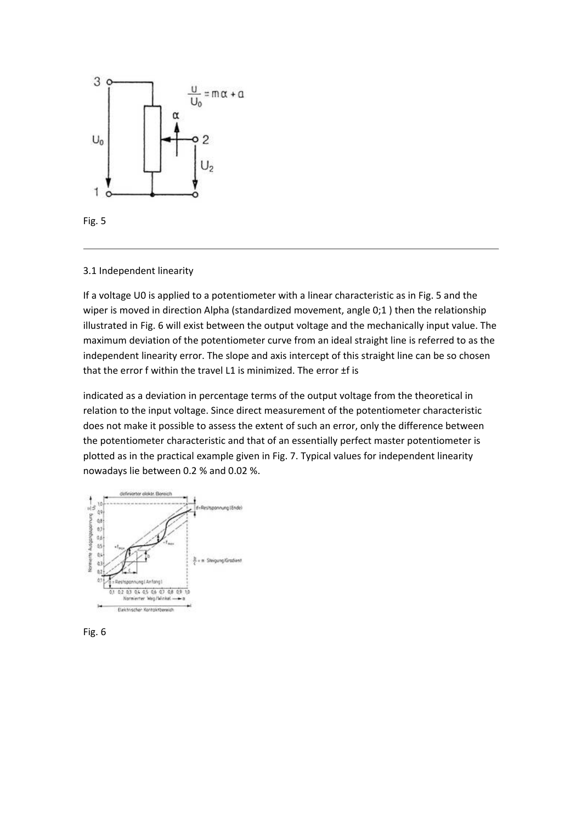



#### 3.1 Independent linearity

If a voltage U0 is applied to a potentiometer with a linear characteristic as in Fig. 5 and the wiper is moved in direction Alpha (standardized movement, angle 0;1) then the relationship illustrated in Fig. 6 will exist between the output voltage and the mechanically input value. The maximum deviation of the potentiometer curve from an ideal straight line is referred to as the independent linearity error. The slope and axis intercept of this straight line can be so chosen that the error f within the travel L1 is minimized. The error ±f is

indicated as a deviation in percentage terms of the output voltage from the theoretical in relation to the input voltage. Since direct measurement of the potentiometer characteristic does not make it possible to assess the extent of such an error, only the difference between the potentiometer characteristic and that of an essentially perfect master potentiometer is plotted as in the practical example given in Fig. 7. Typical values for independent linearity nowadays lie between 0.2 % and 0.02 %.



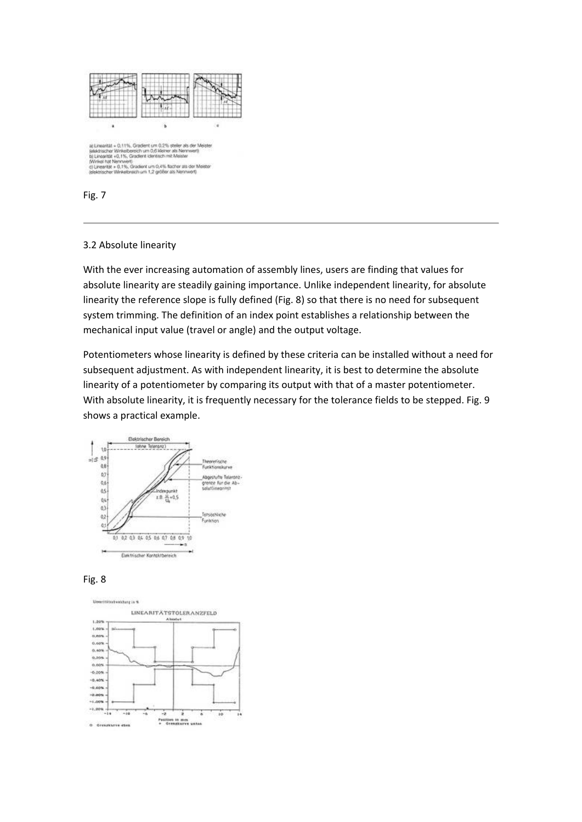



### 3.2 Absolute linearity

With the ever increasing automation of assembly lines, users are finding that values for absolute linearity are steadily gaining importance. Unlike independent linearity, for absolute linearity the reference slope is fully defined (Fig. 8) so that there is no need for subsequent system trimming. The definition of an index point establishes a relationship between the mechanical input value (travel or angle) and the output voltage.

Potentiometers whose linearity is defined by these criteria can be installed without a need for subsequent adjustment. As with independent linearity, it is best to determine the absolute linearity of a potentiometer by comparing its output with that of a master potentiometer. With absolute linearity, it is frequently necessary for the tolerance fields to be stepped. Fig. 9 shows a practical example.





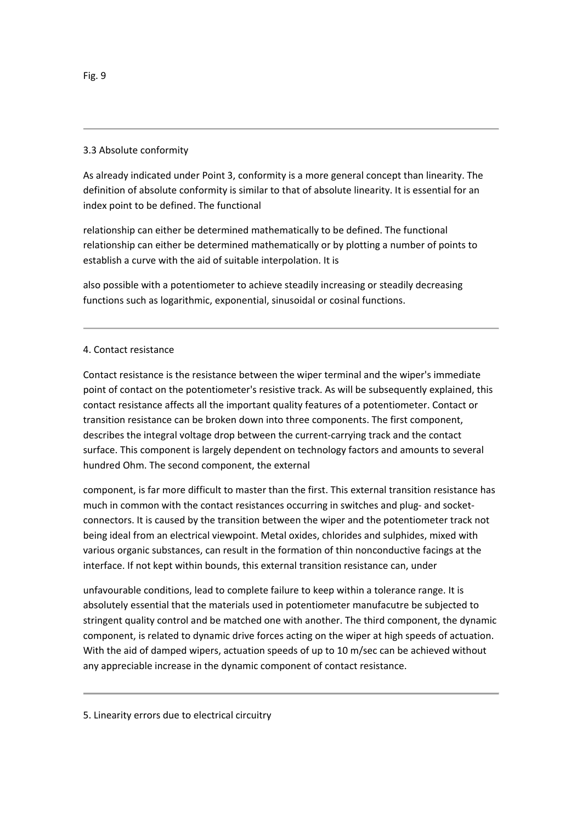## 3.3 Absolute conformity

As already indicated under Point 3, conformity is a more general concept than linearity. The definition of absolute conformity is similar to that of absolute linearity. It is essential for an index point to be defined. The functional

relationship can either be determined mathematically to be defined. The functional relationship can either be determined mathematically or by plotting a number of points to establish a curve with the aid of suitable interpolation. It is

also possible with a potentiometer to achieve steadily increasing or steadily decreasing functions such as logarithmic, exponential, sinusoidal or cosinal functions.

## 4. Contact resistance

Contact resistance is the resistance between the wiper terminal and the wiper's immediate point of contact on the potentiometer's resistive track. As will be subsequently explained, this contact resistance affects all the important quality features of a potentiometer. Contact or transition resistance can be broken down into three components. The first component, describes the integral voltage drop between the current‐carrying track and the contact surface. This component is largely dependent on technology factors and amounts to several hundred Ohm. The second component, the external

component, is far more difficult to master than the first. This external transition resistance has much in common with the contact resistances occurring in switches and plug- and socketconnectors. It is caused by the transition between the wiper and the potentiometer track not being ideal from an electrical viewpoint. Metal oxides, chlorides and sulphides, mixed with various organic substances, can result in the formation of thin nonconductive facings at the interface. If not kept within bounds, this external transition resistance can, under

unfavourable conditions, lead to complete failure to keep within a tolerance range. It is absolutely essential that the materials used in potentiometer manufacutre be subjected to stringent quality control and be matched one with another. The third component, the dynamic component, is related to dynamic drive forces acting on the wiper at high speeds of actuation. With the aid of damped wipers, actuation speeds of up to 10 m/sec can be achieved without any appreciable increase in the dynamic component of contact resistance.

5. Linearity errors due to electrical circuitry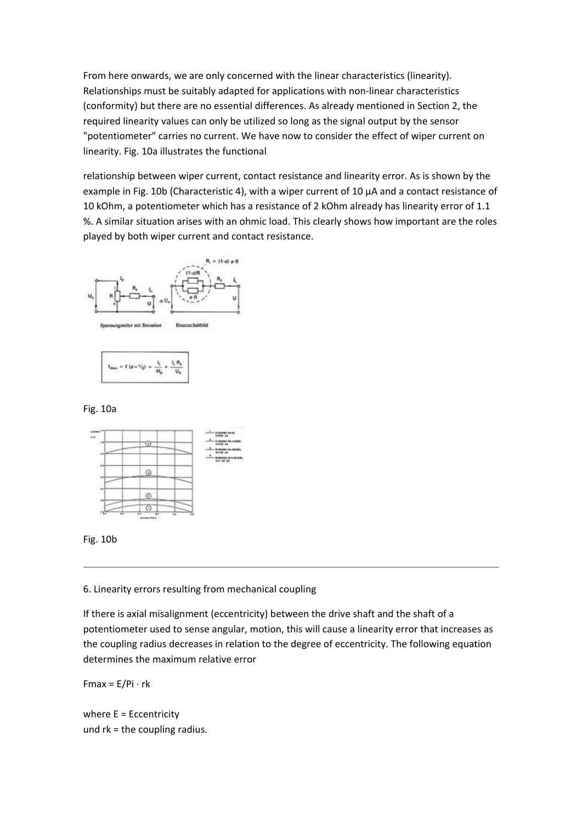From here onwards, we are only concerned with the linear characteristics (linearity). Relationships must be suitably adapted for applications with non-linear characteristics (conformity) but there are no essential differences. As already mentioned in Section 2, the required linearity values can only be utilized so long as the signal output by the sensor "potentiometer" carries no current. We have now to consider the effect of wiper current on linearity. Fig. 10a illustrates the functional

relationship between wiper current, contact resistance and linearity error. As is shown by the example in Fig. 10b (Characteristic 4), with a wiper current of 10 µA and a contact resistance of 10 kOhm, a potentiometer which has a resistance of 2 kOhm already has linearity error of 1.1 %. A similar situation arises with an ohmic load. This clearly shows how important are the roles played by both wiper current and contact resistance.





Fig. 10a





6. Linearity errors resulting from mechanical coupling

If there is axial misalignment (eccentricity) between the drive shaft and the shaft of a potentiometer used to sense angular, motion, this will cause a linearity error that increases as the coupling radius decreases in relation to the degree of eccentricity. The following equation determines the maximum relative error

 $Fmax = E/Pi \cdot rk$ 

where E = Eccentricity und rk = the coupling radius.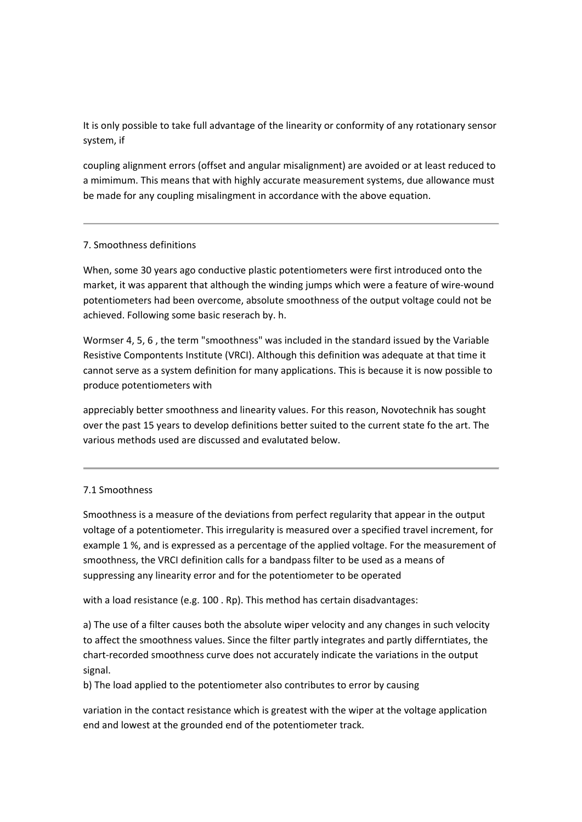It is only possible to take full advantage of the linearity or conformity of any rotationary sensor system, if

coupling alignment errors (offset and angular misalignment) are avoided or at least reduced to a mimimum. This means that with highly accurate measurement systems, due allowance must be made for any coupling misalingment in accordance with the above equation.

## 7. Smoothness definitions

When, some 30 years ago conductive plastic potentiometers were first introduced onto the market, it was apparent that although the winding jumps which were a feature of wire‐wound potentiometers had been overcome, absolute smoothness of the output voltage could not be achieved. Following some basic reserach by. h.

Wormser 4, 5, 6 , the term "smoothness" was included in the standard issued by the Variable Resistive Compontents Institute (VRCI). Although this definition was adequate at that time it cannot serve as a system definition for many applications. This is because it is now possible to produce potentiometers with

appreciably better smoothness and linearity values. For this reason, Novotechnik has sought over the past 15 years to develop definitions better suited to the current state fo the art. The various methods used are discussed and evalutated below.

## 7.1 Smoothness

Smoothness is a measure of the deviations from perfect regularity that appear in the output voltage of a potentiometer. This irregularity is measured over a specified travel increment, for example 1 %, and is expressed as a percentage of the applied voltage. For the measurement of smoothness, the VRCI definition calls for a bandpass filter to be used as a means of suppressing any linearity error and for the potentiometer to be operated

with a load resistance (e.g. 100 . Rp). This method has certain disadvantages:

a) The use of a filter causes both the absolute wiper velocity and any changes in such velocity to affect the smoothness values. Since the filter partly integrates and partly differntiates, the chart-recorded smoothness curve does not accurately indicate the variations in the output signal.

b) The load applied to the potentiometer also contributes to error by causing

variation in the contact resistance which is greatest with the wiper at the voltage application end and lowest at the grounded end of the potentiometer track.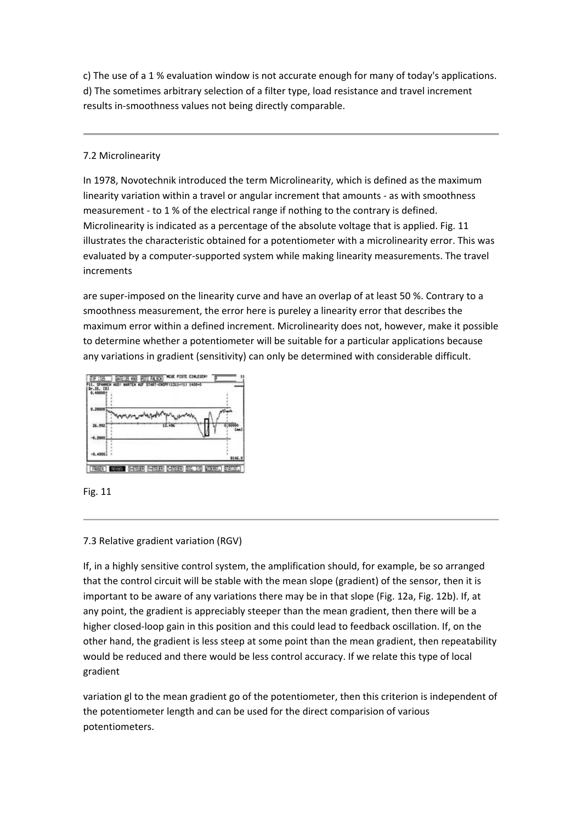c) The use of a 1 % evaluation window is not accurate enough for many of today's applications. d) The sometimes arbitrary selection of a filter type, load resistance and travel increment results in‐smoothness values not being directly comparable.

# 7.2 Microlinearity

In 1978, Novotechnik introduced the term Microlinearity, which is defined as the maximum linearity variation within a travel or angular increment that amounts ‐ as with smoothness measurement ‐ to 1 % of the electrical range if nothing to the contrary is defined. Microlinearity is indicated as a percentage of the absolute voltage that is applied. Fig. 11 illustrates the characteristic obtained for a potentiometer with a microlinearity error. This was evaluated by a computer‐supported system while making linearity measurements. The travel increments

are super-imposed on the linearity curve and have an overlap of at least 50 %. Contrary to a smoothness measurement, the error here is pureley a linearity error that describes the maximum error within a defined increment. Microlinearity does not, however, make it possible to determine whether a potentiometer will be suitable for a particular applications because any variations in gradient (sensitivity) can only be determined with considerable difficult.





# 7.3 Relative gradient variation (RGV)

If, in a highly sensitive control system, the amplification should, for example, be so arranged that the control circuit will be stable with the mean slope (gradient) of the sensor, then it is important to be aware of any variations there may be in that slope (Fig. 12a, Fig. 12b). If, at any point, the gradient is appreciably steeper than the mean gradient, then there will be a higher closed-loop gain in this position and this could lead to feedback oscillation. If, on the other hand, the gradient is less steep at some point than the mean gradient, then repeatability would be reduced and there would be less control accuracy. If we relate this type of local gradient

variation gl to the mean gradient go of the potentiometer, then this criterion is independent of the potentiometer length and can be used for the direct comparision of various potentiometers.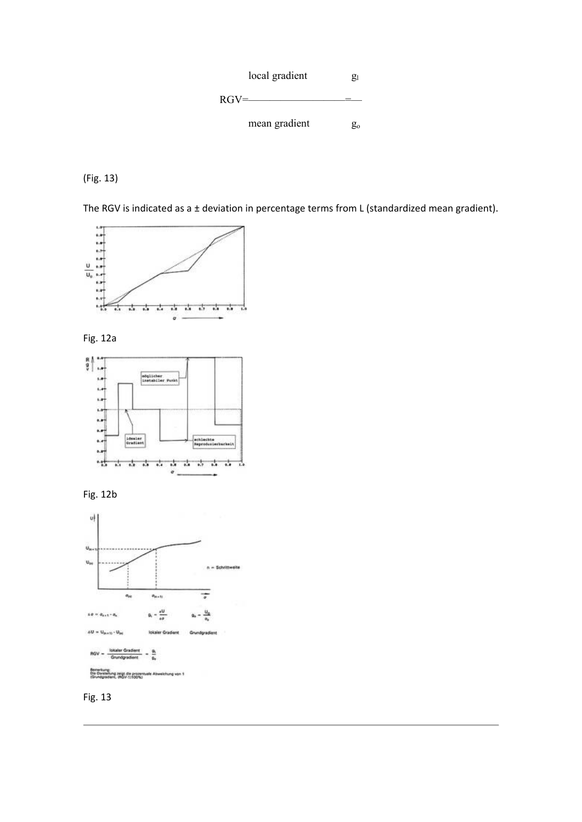

(Fig. 13)

The RGV is indicated as a ± deviation in percentage terms from L (standardized mean gradient).



Fig. 12a







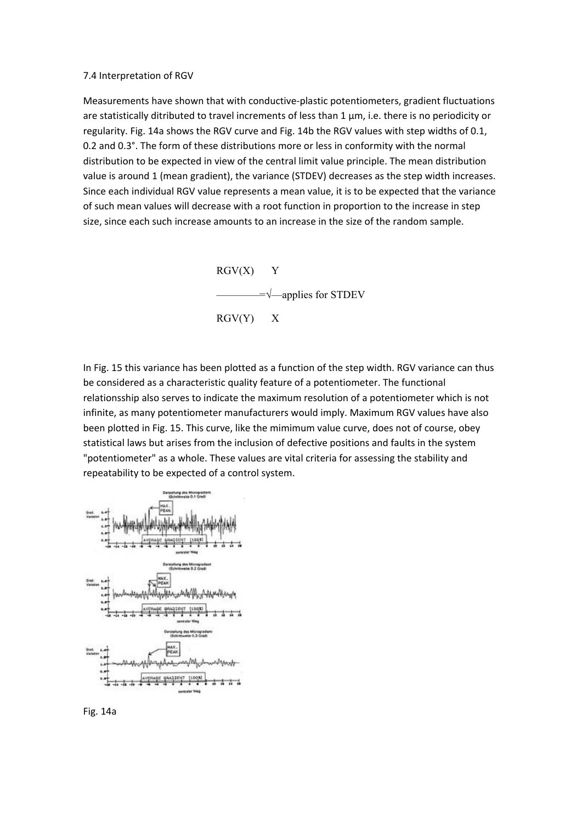#### 7.4 Interpretation of RGV

Measurements have shown that with conductive‐plastic potentiometers, gradient fluctuations are statistically ditributed to travel increments of less than 1  $\mu$ m, i.e. there is no periodicity or regularity. Fig. 14a shows the RGV curve and Fig. 14b the RGV values with step widths of 0.1, 0.2 and 0.3°. The form of these distributions more or less in conformity with the normal distribution to be expected in view of the central limit value principle. The mean distribution value is around 1 (mean gradient), the variance (STDEV) decreases as the step width increases. Since each individual RGV value represents a mean value, it is to be expected that the variance of such mean values will decrease with a root function in proportion to the increase in step size, since each such increase amounts to an increase in the size of the random sample.



In Fig. 15 this variance has been plotted as a function of the step width. RGV variance can thus be considered as a characteristic quality feature of a potentiometer. The functional relationsship also serves to indicate the maximum resolution of a potentiometer which is not infinite, as many potentiometer manufacturers would imply. Maximum RGV values have also been plotted in Fig. 15. This curve, like the mimimum value curve, does not of course, obey statistical laws but arises from the inclusion of defective positions and faults in the system "potentiometer" as a whole. These values are vital criteria for assessing the stability and repeatability to be expected of a control system.



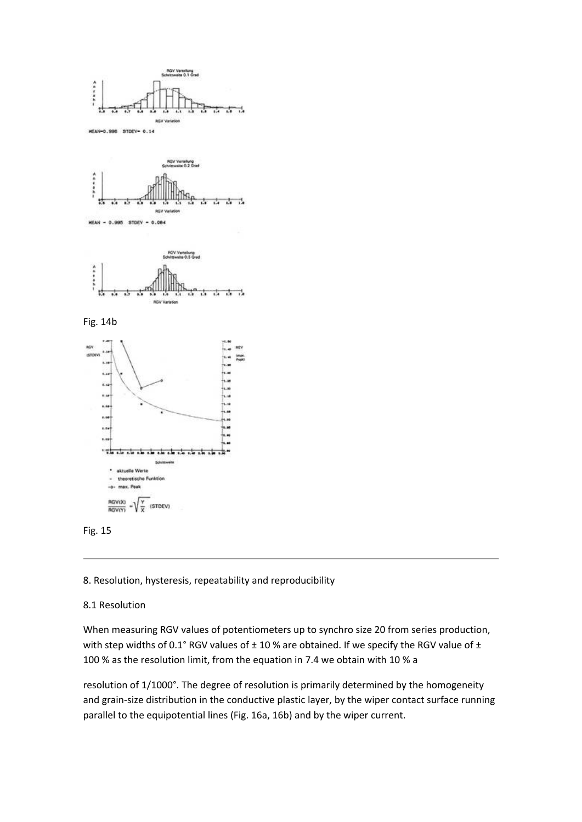





Fig. 14b





### 8. Resolution, hysteresis, repeatability and reproducibility

### 8.1 Resolution

When measuring RGV values of potentiometers up to synchro size 20 from series production, with step widths of 0.1° RGV values of  $\pm$  10 % are obtained. If we specify the RGV value of  $\pm$ 100 % as the resolution limit, from the equation in 7.4 we obtain with 10 % a

resolution of 1/1000°. The degree of resolution is primarily determined by the homogeneity and grain-size distribution in the conductive plastic layer, by the wiper contact surface running parallel to the equipotential lines (Fig. 16a, 16b) and by the wiper current.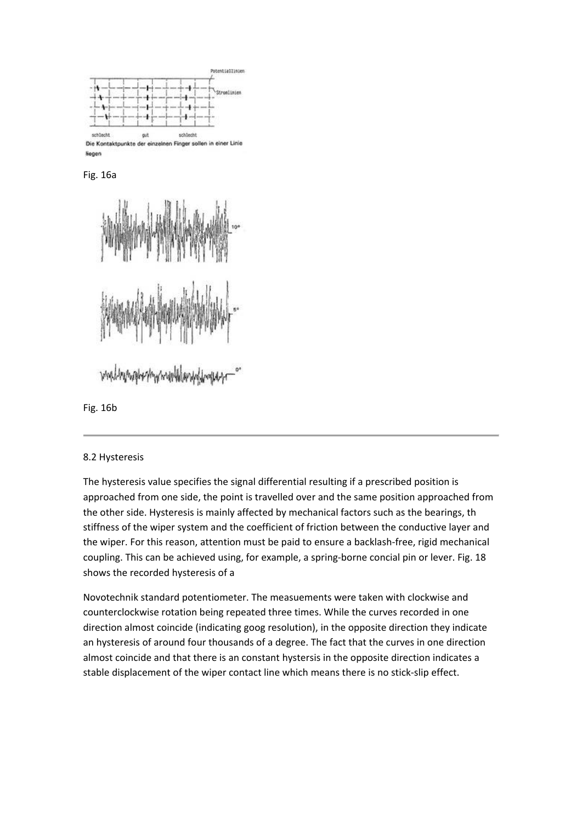

**Reger** 

Fig. 16a



Fig. 16b

## 8.2 Hysteresis

The hysteresis value specifies the signal differential resulting if a prescribed position is approached from one side, the point is travelled over and the same position approached from the other side. Hysteresis is mainly affected by mechanical factors such as the bearings, th stiffness of the wiper system and the coefficient of friction between the conductive layer and the wiper. For this reason, attention must be paid to ensure a backlash‐free, rigid mechanical coupling. This can be achieved using, for example, a spring-borne concial pin or lever. Fig. 18 shows the recorded hysteresis of a

Novotechnik standard potentiometer. The measuements were taken with clockwise and counterclockwise rotation being repeated three times. While the curves recorded in one direction almost coincide (indicating goog resolution), in the opposite direction they indicate an hysteresis of around four thousands of a degree. The fact that the curves in one direction almost coincide and that there is an constant hystersis in the opposite direction indicates a stable displacement of the wiper contact line which means there is no stick‐slip effect.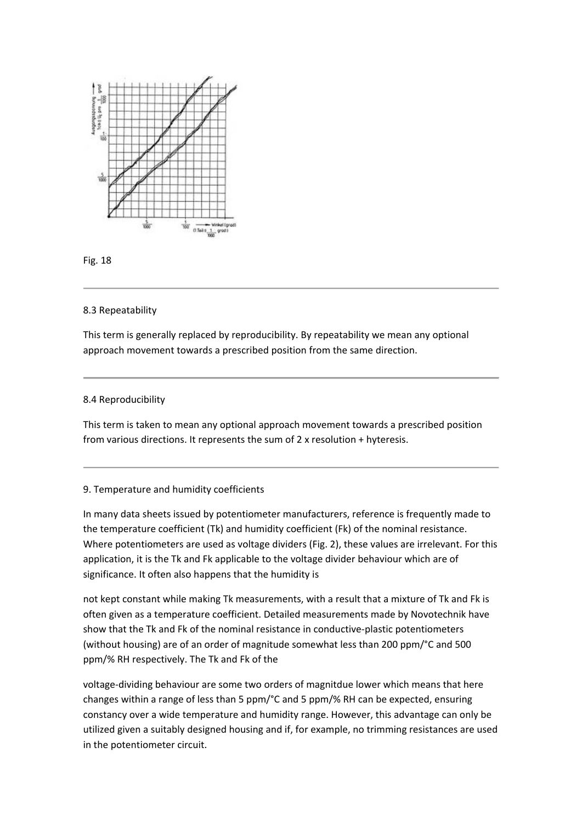



### 8.3 Repeatability

This term is generally replaced by reproducibility. By repeatability we mean any optional approach movement towards a prescribed position from the same direction.

### 8.4 Reproducibility

This term is taken to mean any optional approach movement towards a prescribed position from various directions. It represents the sum of 2 x resolution + hyteresis.

#### 9. Temperature and humidity coefficients

In many data sheets issued by potentiometer manufacturers, reference is frequently made to the temperature coefficient (Tk) and humidity coefficient (Fk) of the nominal resistance. Where potentiometers are used as voltage dividers (Fig. 2), these values are irrelevant. For this application, it is the Tk and Fk applicable to the voltage divider behaviour which are of significance. It often also happens that the humidity is

not kept constant while making Tk measurements, with a result that a mixture of Tk and Fk is often given as a temperature coefficient. Detailed measurements made by Novotechnik have show that the Tk and Fk of the nominal resistance in conductive‐plastic potentiometers (without housing) are of an order of magnitude somewhat less than 200 ppm/°C and 500 ppm/% RH respectively. The Tk and Fk of the

voltage‐dividing behaviour are some two orders of magnitdue lower which means that here changes within a range of less than 5 ppm/°C and 5 ppm/% RH can be expected, ensuring constancy over a wide temperature and humidity range. However, this advantage can only be utilized given a suitably designed housing and if, for example, no trimming resistances are used in the potentiometer circuit.